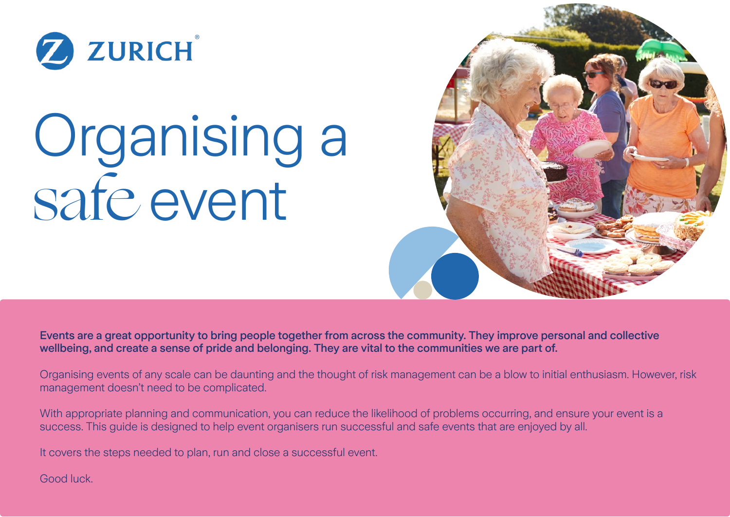

# Organising a safe event



Events are a great opportunity to bring people together from across the community. They improve personal and collective wellbeing, and create a sense of pride and belonging. They are vital to the communities we are part of.

Organising events of any scale can be daunting and the thought of risk management can be a blow to initial enthusiasm. However, risk management doesn't need to be complicated.

With appropriate planning and communication, you can reduce the likelihood of problems occurring, and ensure your event is a success. This quide is designed to help event organisers run successful and safe events that are enjoyed by all.

It covers the steps needed to plan, run and close a successful event.

Good luck.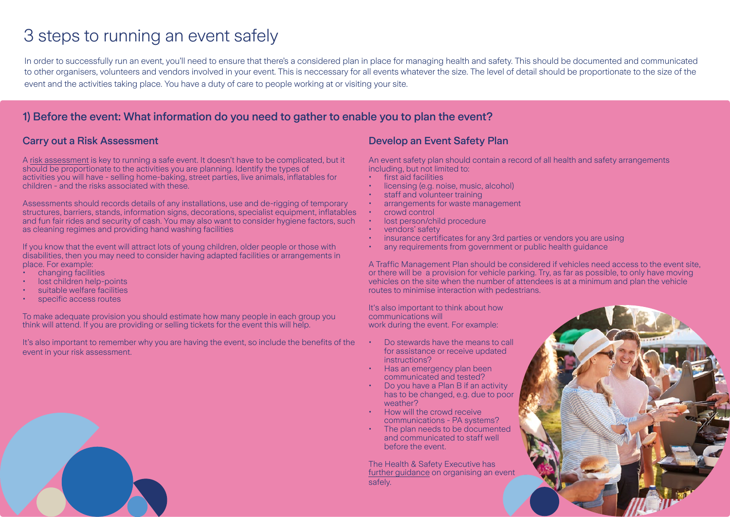# 3 steps to running an event safely

In order to successfully run an event, you'll need to ensure that there's a considered plan in place for managing health and safety. This should be documented and communicated to other organisers, volunteers and vendors involved in your event. This is neccessary for all events whatever the size. The level of detail should be proportionate to the size of the event and the activities taking place. You have a duty of care to people working at or visiting your site.

# 1) Before the event: What information do you need to gather to enable you to plan the event?

#### Carry out a Risk Assessment

A [risk assessment](https://www.zurich.co.uk/news-and-insight/assessing-health-and-safety-risks-through-the-pandemic-and-beyond) is key to running a safe event. It doesn't have to be complicated, but it should be proportionate to the activities you are planning. Identify the types of activities you will have - selling home-baking, street parties, live animals, inflatables for children - and the risks associated with these.

Assessments should records details of any installations, use and de-rigging of temporary structures, barriers, stands, information signs, decorations, specialist equipment, inflatables and fun fair rides and security of cash. You may also want to consider hygiene factors, such as cleaning regimes and providing hand washing facilities

If you know that the event will attract lots of young children, older people or those with disabilities, then you may need to consider having adapted facilities or arrangements in place. For example:

- changing facilities
- lost children help-points
- suitable welfare facilities
- specific access routes

To make adequate provision you should estimate how many people in each group you think will attend. If you are providing or selling tickets for the event this will help.

It's also important to remember why you are having the event, so include the benefits of the event in your risk assessment.

#### Develop an Event Safety Plan

An event safety plan should contain a record of all health and safety arrangements including, but not limited to:

- first aid facilities
- licensing (e.g. noise, music, alcohol)
- staff and volunteer training
- arrangements for waste management
- crowd control
- lost person/child procedure
- vendors' safety
- insurance certificates for any 3rd parties or vendors you are using
- any requirements from government or public health guidance

A Traffic Management Plan should be considered if vehicles need access to the event site, or there will be a provision for vehicle parking. Try, as far as possible, to only have moving vehicles on the site when the number of attendees is at a minimum and plan the vehicle routes to minimise interaction with pedestrians.

It's also important to think about how communications will work during the event. For example:

- Do stewards have the means to call for assistance or receive updated instructions?
- Has an emergency plan been communicated and tested?
- Do you have a Plan B if an activity has to be changed, e.g. due to poor weather?
- How will the crowd receive communications - PA systems?
- The plan needs to be documented and communicated to staff well before the event.

The Health & Safety Executive has [further guidance](https://www.hse.gov.uk/event-safety/running.htm) on organising an event safely.